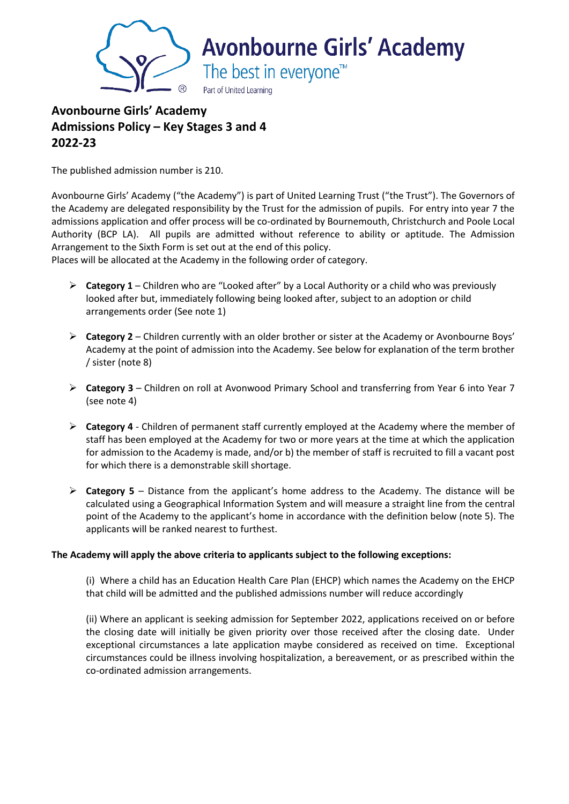

# **Avonbourne Girls' Academy Admissions Policy – Key Stages 3 and 4 2022-23**

The published admission number is 210.

Avonbourne Girls' Academy ("the Academy") is part of United Learning Trust ("the Trust"). The Governors of the Academy are delegated responsibility by the Trust for the admission of pupils. For entry into year 7 the admissions application and offer process will be co-ordinated by Bournemouth, Christchurch and Poole Local Authority (BCP LA). All pupils are admitted without reference to ability or aptitude. The Admission Arrangement to the Sixth Form is set out at the end of this policy.

Places will be allocated at the Academy in the following order of category.

- ➢ **Category 1** Children who are "Looked after" by a Local Authority or a child who was previously looked after but, immediately following being looked after, subject to an adoption or child arrangements order (See note 1)
- ➢ **Category 2** Children currently with an older brother or sister at the Academy or Avonbourne Boys' Academy at the point of admission into the Academy. See below for explanation of the term brother / sister (note 8)
- ➢ **Category 3** Children on roll at Avonwood Primary School and transferring from Year 6 into Year 7 (see note 4)
- ➢ **Category 4** Children of permanent staff currently employed at the Academy where the member of staff has been employed at the Academy for two or more years at the time at which the application for admission to the Academy is made, and/or b) the member of staff is recruited to fill a vacant post for which there is a demonstrable skill shortage.
- ➢ **Category 5** Distance from the applicant's home address to the Academy. The distance will be calculated using a Geographical Information System and will measure a straight line from the central point of the Academy to the applicant's home in accordance with the definition below (note 5). The applicants will be ranked nearest to furthest.

#### **The Academy will apply the above criteria to applicants subject to the following exceptions:**

(i) Where a child has an Education Health Care Plan (EHCP) which names the Academy on the EHCP that child will be admitted and the published admissions number will reduce accordingly

(ii) Where an applicant is seeking admission for September 2022, applications received on or before the closing date will initially be given priority over those received after the closing date. Under exceptional circumstances a late application maybe considered as received on time. Exceptional circumstances could be illness involving hospitalization, a bereavement, or as prescribed within the co-ordinated admission arrangements.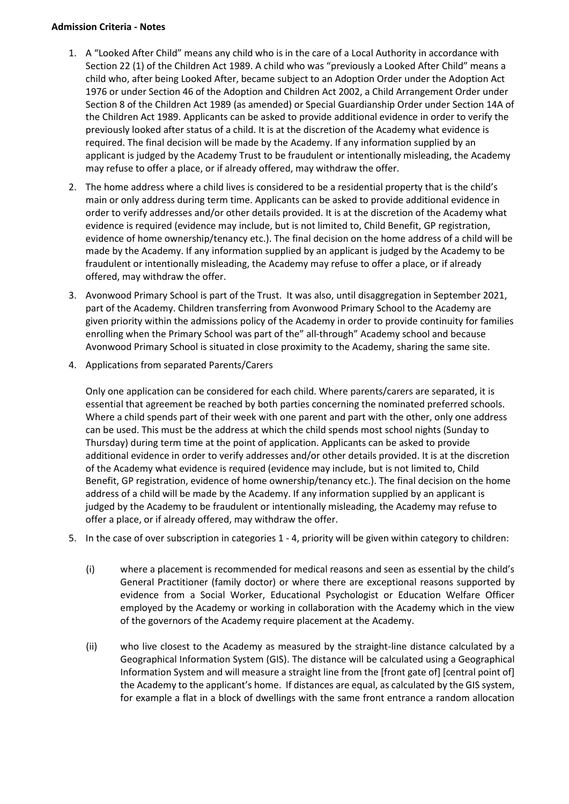#### **Admission Criteria - Notes**

- 1. A "Looked After Child" means any child who is in the care of a Local Authority in accordance with Section 22 (1) of the Children Act 1989. A child who was "previously a Looked After Child" means a child who, after being Looked After, became subject to an Adoption Order under the Adoption Act 1976 or under Section 46 of the Adoption and Children Act 2002, a Child Arrangement Order under Section 8 of the Children Act 1989 (as amended) or Special Guardianship Order under Section 14A of the Children Act 1989. Applicants can be asked to provide additional evidence in order to verify the previously looked after status of a child. It is at the discretion of the Academy what evidence is required. The final decision will be made by the Academy. If any information supplied by an applicant is judged by the Academy Trust to be fraudulent or intentionally misleading, the Academy may refuse to offer a place, or if already offered, may withdraw the offer.
- 2. The home address where a child lives is considered to be a residential property that is the child's main or only address during term time. Applicants can be asked to provide additional evidence in order to verify addresses and/or other details provided. It is at the discretion of the Academy what evidence is required (evidence may include, but is not limited to, Child Benefit, GP registration, evidence of home ownership/tenancy etc.). The final decision on the home address of a child will be made by the Academy. If any information supplied by an applicant is judged by the Academy to be fraudulent or intentionally misleading, the Academy may refuse to offer a place, or if already offered, may withdraw the offer.
- 3. Avonwood Primary School is part of the Trust. It was also, until disaggregation in September 2021, part of the Academy. Children transferring from Avonwood Primary School to the Academy are given priority within the admissions policy of the Academy in order to provide continuity for families enrolling when the Primary School was part of the" all-through" Academy school and because Avonwood Primary School is situated in close proximity to the Academy, sharing the same site.
- 4. Applications from separated Parents/Carers

Only one application can be considered for each child. Where parents/carers are separated, it is essential that agreement be reached by both parties concerning the nominated preferred schools. Where a child spends part of their week with one parent and part with the other, only one address can be used. This must be the address at which the child spends most school nights (Sunday to Thursday) during term time at the point of application. Applicants can be asked to provide additional evidence in order to verify addresses and/or other details provided. It is at the discretion of the Academy what evidence is required (evidence may include, but is not limited to, Child Benefit, GP registration, evidence of home ownership/tenancy etc.). The final decision on the home address of a child will be made by the Academy. If any information supplied by an applicant is judged by the Academy to be fraudulent or intentionally misleading, the Academy may refuse to offer a place, or if already offered, may withdraw the offer.

- 5. In the case of over subscription in categories 1 4, priority will be given within category to children:
	- (i) where a placement is recommended for medical reasons and seen as essential by the child's General Practitioner (family doctor) or where there are exceptional reasons supported by evidence from a Social Worker, Educational Psychologist or Education Welfare Officer employed by the Academy or working in collaboration with the Academy which in the view of the governors of the Academy require placement at the Academy.
	- (ii) who live closest to the Academy as measured by the straight-line distance calculated by a Geographical Information System (GIS). The distance will be calculated using a Geographical Information System and will measure a straight line from the [front gate of] [central point of] the Academy to the applicant's home. If distances are equal, as calculated by the GIS system, for example a flat in a block of dwellings with the same front entrance a random allocation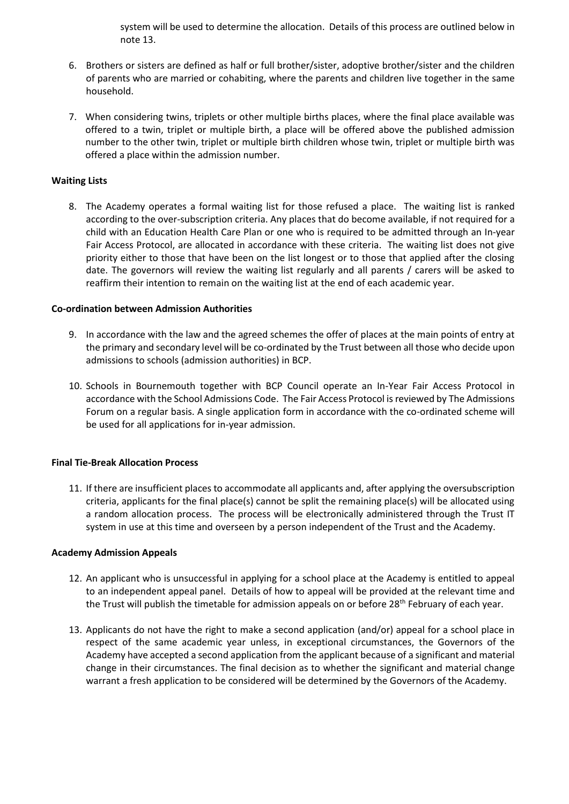system will be used to determine the allocation. Details of this process are outlined below in note 13.

- 6. Brothers or sisters are defined as half or full brother/sister, adoptive brother/sister and the children of parents who are married or cohabiting, where the parents and children live together in the same household.
- 7. When considering twins, triplets or other multiple births places, where the final place available was offered to a twin, triplet or multiple birth, a place will be offered above the published admission number to the other twin, triplet or multiple birth children whose twin, triplet or multiple birth was offered a place within the admission number.

## **Waiting Lists**

8. The Academy operates a formal waiting list for those refused a place. The waiting list is ranked according to the over-subscription criteria. Any places that do become available, if not required for a child with an Education Health Care Plan or one who is required to be admitted through an In-year Fair Access Protocol, are allocated in accordance with these criteria. The waiting list does not give priority either to those that have been on the list longest or to those that applied after the closing date. The governors will review the waiting list regularly and all parents / carers will be asked to reaffirm their intention to remain on the waiting list at the end of each academic year.

#### **Co-ordination between Admission Authorities**

- 9. In accordance with the law and the agreed schemes the offer of places at the main points of entry at the primary and secondary level will be co-ordinated by the Trust between all those who decide upon admissions to schools (admission authorities) in BCP.
- 10. Schools in Bournemouth together with BCP Council operate an In-Year Fair Access Protocol in accordance with the School Admissions Code. The Fair Access Protocol is reviewed by The Admissions Forum on a regular basis. A single application form in accordance with the co-ordinated scheme will be used for all applications for in-year admission.

#### **Final Tie-Break Allocation Process**

11. If there are insufficient places to accommodate all applicants and, after applying the oversubscription criteria, applicants for the final place(s) cannot be split the remaining place(s) will be allocated using a random allocation process. The process will be electronically administered through the Trust IT system in use at this time and overseen by a person independent of the Trust and the Academy.

#### **Academy Admission Appeals**

- 12. An applicant who is unsuccessful in applying for a school place at the Academy is entitled to appeal to an independent appeal panel. Details of how to appeal will be provided at the relevant time and the Trust will publish the timetable for admission appeals on or before  $28<sup>th</sup>$  February of each year.
- 13. Applicants do not have the right to make a second application (and/or) appeal for a school place in respect of the same academic year unless, in exceptional circumstances, the Governors of the Academy have accepted a second application from the applicant because of a significant and material change in their circumstances. The final decision as to whether the significant and material change warrant a fresh application to be considered will be determined by the Governors of the Academy.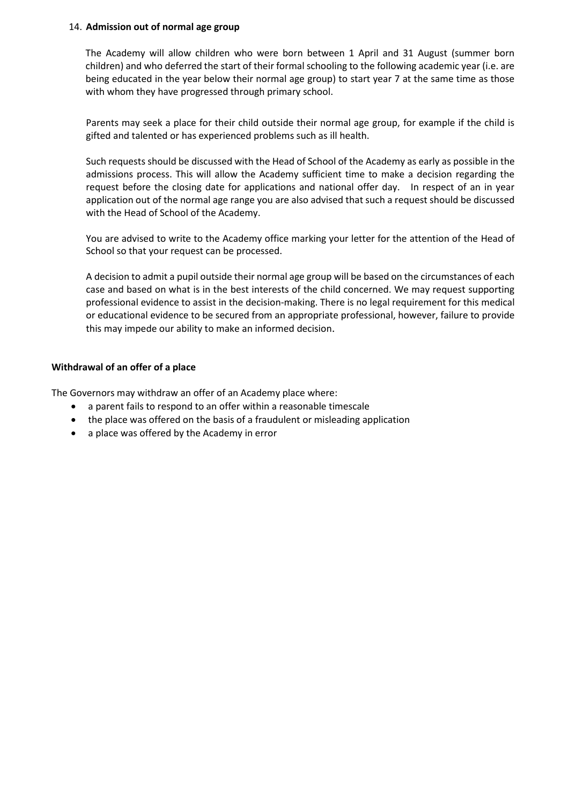#### 14. **Admission out of normal age group**

The Academy will allow children who were born between 1 April and 31 August (summer born children) and who deferred the start of their formal schooling to the following academic year (i.e. are being educated in the year below their normal age group) to start year 7 at the same time as those with whom they have progressed through primary school.

Parents may seek a place for their child outside their normal age group, for example if the child is gifted and talented or has experienced problems such as ill health.

Such requests should be discussed with the Head of School of the Academy as early as possible in the admissions process. This will allow the Academy sufficient time to make a decision regarding the request before the closing date for applications and national offer day. In respect of an in year application out of the normal age range you are also advised that such a request should be discussed with the Head of School of the Academy.

You are advised to write to the Academy office marking your letter for the attention of the Head of School so that your request can be processed.

A decision to admit a pupil outside their normal age group will be based on the circumstances of each case and based on what is in the best interests of the child concerned. We may request supporting professional evidence to assist in the decision-making. There is no legal requirement for this medical or educational evidence to be secured from an appropriate professional, however, failure to provide this may impede our ability to make an informed decision.

#### **Withdrawal of an offer of a place**

The Governors may withdraw an offer of an Academy place where:

- a parent fails to respond to an offer within a reasonable timescale
- the place was offered on the basis of a fraudulent or misleading application
- a place was offered by the Academy in error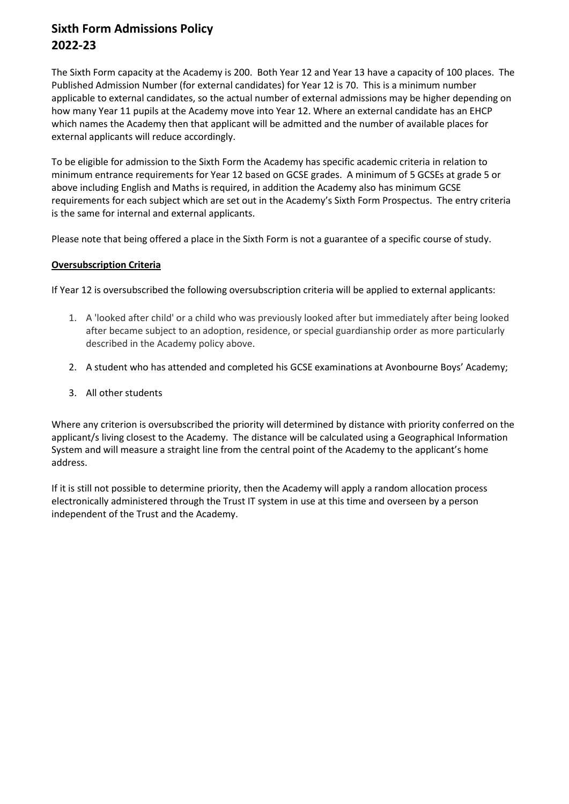# **Sixth Form Admissions Policy 2022-23**

The Sixth Form capacity at the Academy is 200. Both Year 12 and Year 13 have a capacity of 100 places. The Published Admission Number (for external candidates) for Year 12 is 70. This is a minimum number applicable to external candidates, so the actual number of external admissions may be higher depending on how many Year 11 pupils at the Academy move into Year 12. Where an external candidate has an EHCP which names the Academy then that applicant will be admitted and the number of available places for external applicants will reduce accordingly.

To be eligible for admission to the Sixth Form the Academy has specific academic criteria in relation to minimum entrance requirements for Year 12 based on GCSE grades. A minimum of 5 GCSEs at grade 5 or above including English and Maths is required, in addition the Academy also has minimum GCSE requirements for each subject which are set out in the Academy's Sixth Form Prospectus. The entry criteria is the same for internal and external applicants.

Please note that being offered a place in the Sixth Form is not a guarantee of a specific course of study.

# **Oversubscription Criteria**

If Year 12 is oversubscribed the following oversubscription criteria will be applied to external applicants:

- 1. A 'looked after child' or a child who was previously looked after but immediately after being looked after became subject to an adoption, residence, or special guardianship order as more particularly described in the Academy policy above.
- 2. A student who has attended and completed his GCSE examinations at Avonbourne Boys' Academy;
- 3. All other students

Where any criterion is oversubscribed the priority will determined by distance with priority conferred on the applicant/s living closest to the Academy. The distance will be calculated using a Geographical Information System and will measure a straight line from the central point of the Academy to the applicant's home address.

If it is still not possible to determine priority, then the Academy will apply a random allocation process electronically administered through the Trust IT system in use at this time and overseen by a person independent of the Trust and the Academy.